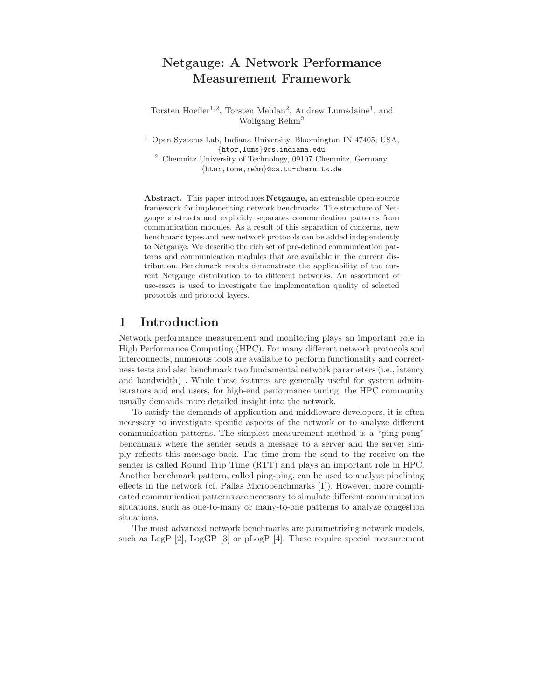# Netgauge: A Network Performance Measurement Framework

Torsten Hoefler<sup>1,2</sup>, Torsten Mehlan<sup>2</sup>, Andrew Lumsdaine<sup>1</sup>, and Wolfgang Rehm<sup>2</sup>

<sup>1</sup> Open Systems Lab, Indiana University, Bloomington IN 47405, USA, {htor,lums}@cs.indiana.edu

<sup>2</sup> Chemnitz University of Technology, 09107 Chemnitz, Germany, {htor,tome,rehm}@cs.tu-chemnitz.de

Abstract. This paper introduces Netgauge, an extensible open-source framework for implementing network benchmarks. The structure of Netgauge abstracts and explicitly separates communication patterns from communication modules. As a result of this separation of concerns, new benchmark types and new network protocols can be added independently to Netgauge. We describe the rich set of pre-defined communication patterns and communication modules that are available in the current distribution. Benchmark results demonstrate the applicability of the current Netgauge distribution to to different networks. An assortment of use-cases is used to investigate the implementation quality of selected protocols and protocol layers.

## 1 Introduction

Network performance measurement and monitoring plays an important role in High Performance Computing (HPC). For many different network protocols and interconnects, numerous tools are available to perform functionality and correctness tests and also benchmark two fundamental network parameters (i.e., latency and bandwidth) . While these features are generally useful for system administrators and end users, for high-end performance tuning, the HPC community usually demands more detailed insight into the network.

To satisfy the demands of application and middleware developers, it is often necessary to investigate specific aspects of the network or to analyze different communication patterns. The simplest measurement method is a "ping-pong" benchmark where the sender sends a message to a server and the server simply reflects this message back. The time from the send to the receive on the sender is called Round Trip Time (RTT) and plays an important role in HPC. Another benchmark pattern, called ping-ping, can be used to analyze pipelining effects in the network (cf. Pallas Microbenchmarks [1]). However, more complicated communication patterns are necessary to simulate different communication situations, such as one-to-many or many-to-one patterns to analyze congestion situations.

The most advanced network benchmarks are parametrizing network models, such as LogP [2], LogGP [3] or pLogP [4]. These require special measurement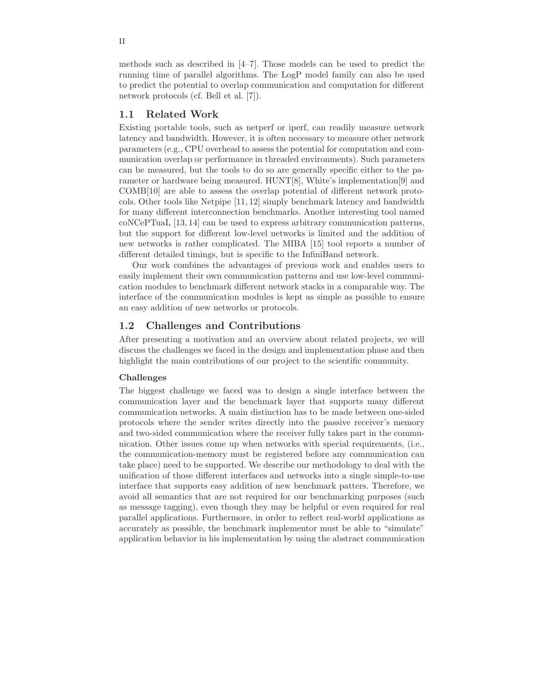methods such as described in [4–7]. Those models can be used to predict the running time of parallel algorithms. The LogP model family can also be used to predict the potential to overlap communication and computation for different network protocols (cf. Bell et al. [7]).

### 1.1 Related Work

Existing portable tools, such as netperf or iperf, can readily measure network latency and bandwidth. However, it is often necessary to measure other network parameters (e.g., CPU overhead to assess the potential for computation and communication overlap or performance in threaded environments). Such parameters can be measured, but the tools to do so are generally specific either to the parameter or hardware being measured. HUNT[8], White's implementation[9] and COMB[10] are able to assess the overlap potential of different network protocols. Other tools like Netpipe [11, 12] simply benchmark latency and bandwidth for many different interconnection benchmarks. Another interesting tool named coNCePTuaL [13, 14] can be used to express arbitrary communication patterns, but the support for different low-level networks is limited and the addition of new networks is rather complicated. The MIBA [15] tool reports a number of different detailed timings, but is specific to the InfiniBand network.

Our work combines the advantages of previous work and enables users to easily implement their own communication patterns and use low-level communication modules to benchmark different network stacks in a comparable way. The interface of the communication modules is kept as simple as possible to ensure an easy addition of new networks or protocols.

## 1.2 Challenges and Contributions

After presenting a motivation and an overview about related projects, we will discuss the challenges we faced in the design and implementation phase and then highlight the main contributions of our project to the scientific community.

#### Challenges

The biggest challenge we faced was to design a single interface between the communication layer and the benchmark layer that supports many different communication networks. A main distinction has to be made between one-sided protocols where the sender writes directly into the passive receiver's memory and two-sided communication where the receiver fully takes part in the communication. Other issues come up when networks with special requirements, (i.e., the communication-memory must be registered before any communication can take place) need to be supported. We describe our methodology to deal with the unification of those different interfaces and networks into a single simple-to-use interface that supports easy addition of new benchmark patters. Therefore, we avoid all semantics that are not required for our benchmarking purposes (such as message tagging), even though they may be helpful or even required for real parallel applications. Furthermore, in order to reflect real-world applications as accurately as possible, the benchmark implementor must be able to "simulate" application behavior in his implementation by using the abstract communication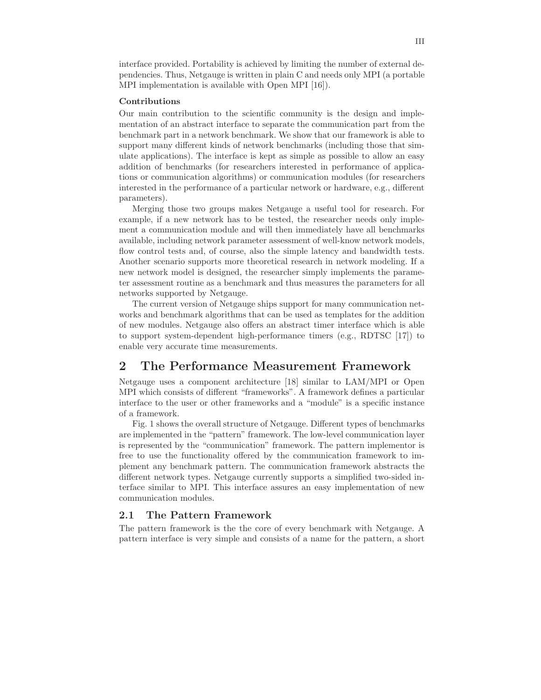interface provided. Portability is achieved by limiting the number of external dependencies. Thus, Netgauge is written in plain C and needs only MPI (a portable MPI implementation is available with Open MPI [16]).

#### Contributions

Our main contribution to the scientific community is the design and implementation of an abstract interface to separate the communication part from the benchmark part in a network benchmark. We show that our framework is able to support many different kinds of network benchmarks (including those that simulate applications). The interface is kept as simple as possible to allow an easy addition of benchmarks (for researchers interested in performance of applications or communication algorithms) or communication modules (for researchers interested in the performance of a particular network or hardware, e.g., different parameters).

Merging those two groups makes Netgauge a useful tool for research. For example, if a new network has to be tested, the researcher needs only implement a communication module and will then immediately have all benchmarks available, including network parameter assessment of well-know network models, flow control tests and, of course, also the simple latency and bandwidth tests. Another scenario supports more theoretical research in network modeling. If a new network model is designed, the researcher simply implements the parameter assessment routine as a benchmark and thus measures the parameters for all networks supported by Netgauge.

The current version of Netgauge ships support for many communication networks and benchmark algorithms that can be used as templates for the addition of new modules. Netgauge also offers an abstract timer interface which is able to support system-dependent high-performance timers (e.g., RDTSC [17]) to enable very accurate time measurements.

## 2 The Performance Measurement Framework

Netgauge uses a component architecture [18] similar to LAM/MPI or Open MPI which consists of different "frameworks". A framework defines a particular interface to the user or other frameworks and a "module" is a specific instance of a framework.

Fig. 1 shows the overall structure of Netgauge. Different types of benchmarks are implemented in the "pattern" framework. The low-level communication layer is represented by the "communication" framework. The pattern implementor is free to use the functionality offered by the communication framework to implement any benchmark pattern. The communication framework abstracts the different network types. Netgauge currently supports a simplified two-sided interface similar to MPI. This interface assures an easy implementation of new communication modules.

### 2.1 The Pattern Framework

The pattern framework is the the core of every benchmark with Netgauge. A pattern interface is very simple and consists of a name for the pattern, a short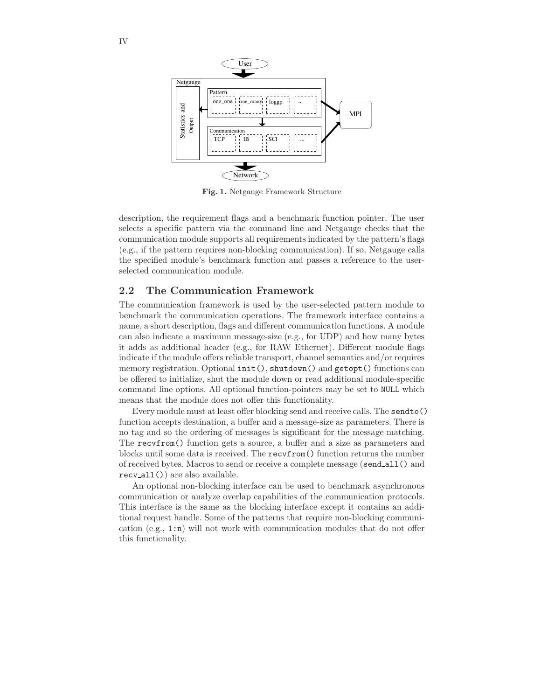

Fig. 1. Netgauge Framework Structure

description, the requirement flags and a benchmark function pointer. The user selects a specific pattern via the command line and Netgauge checks that the communication module supports all requirements indicated by the pattern's flags (e.g., if the pattern requires non-blocking communication). If so, Netgauge calls the specified module's benchmark function and passes a reference to the userselected communication module.

## 2.2 The Communication Framework

The communication framework is used by the user-selected pattern module to benchmark the communication operations. The framework interface contains a name, a short description, flags and different communication functions. A module can also indicate a maximum message-size (e.g., for UDP) and how many bytes it adds as additional header (e.g., for RAW Ethernet). Different module flags indicate if the module offers reliable transport, channel semantics and/or requires memory registration. Optional init(), shutdown() and getopt() functions can be offered to initialize, shut the module down or read additional module-specific command line options. All optional function-pointers may be set to NULL which means that the module does not offer this functionality.

Every module must at least offer blocking send and receive calls. The sendto() function accepts destination, a buffer and a message-size as parameters. There is no tag and so the ordering of messages is significant for the message matching. The recvfrom() function gets a source, a buffer and a size as parameters and blocks until some data is received. The recvfrom() function returns the number of received bytes. Macros to send or receive a complete message (send all() and recv all()) are also available.

An optional non-blocking interface can be used to benchmark asynchronous communication or analyze overlap capabilities of the communication protocols. This interface is the same as the blocking interface except it contains an additional request handle. Some of the patterns that require non-blocking communication (e.g., 1:n) will not work with communication modules that do not offer this functionality.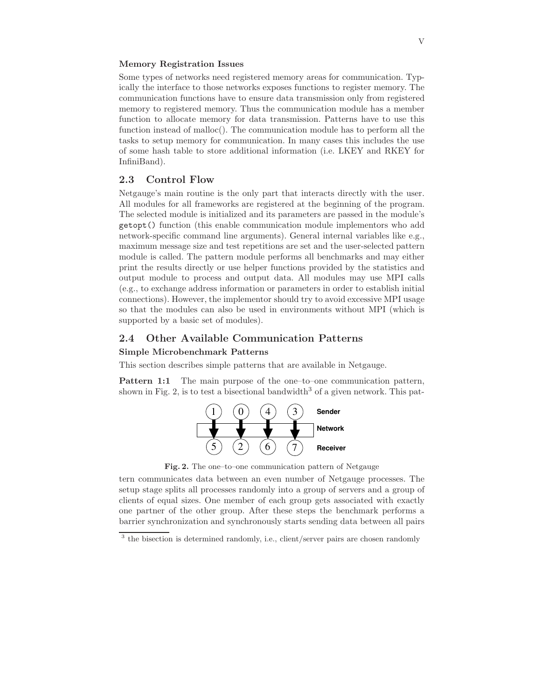#### Memory Registration Issues

Some types of networks need registered memory areas for communication. Typically the interface to those networks exposes functions to register memory. The communication functions have to ensure data transmission only from registered memory to registered memory. Thus the communication module has a member function to allocate memory for data transmission. Patterns have to use this function instead of malloc(). The communication module has to perform all the tasks to setup memory for communication. In many cases this includes the use of some hash table to store additional information (i.e. LKEY and RKEY for InfiniBand).

### 2.3 Control Flow

Netgauge's main routine is the only part that interacts directly with the user. All modules for all frameworks are registered at the beginning of the program. The selected module is initialized and its parameters are passed in the module's getopt() function (this enable communication module implementors who add network-specific command line arguments). General internal variables like e.g., maximum message size and test repetitions are set and the user-selected pattern module is called. The pattern module performs all benchmarks and may either print the results directly or use helper functions provided by the statistics and output module to process and output data. All modules may use MPI calls (e.g., to exchange address information or parameters in order to establish initial connections). However, the implementor should try to avoid excessive MPI usage so that the modules can also be used in environments without MPI (which is supported by a basic set of modules).

## 2.4 Other Available Communication Patterns

#### Simple Microbenchmark Patterns

This section describes simple patterns that are available in Netgauge.

Pattern 1:1 The main purpose of the one–to–one communication pattern, shown in Fig. 2, is to test a bisectional bandwidth<sup>3</sup> of a given network. This pat-



Fig. 2. The one–to–one communication pattern of Netgauge

tern communicates data between an even number of Netgauge processes. The setup stage splits all processes randomly into a group of servers and a group of clients of equal sizes. One member of each group gets associated with exactly one partner of the other group. After these steps the benchmark performs a barrier synchronization and synchronously starts sending data between all pairs

<sup>&</sup>lt;sup>3</sup> the bisection is determined randomly, i.e., client/server pairs are chosen randomly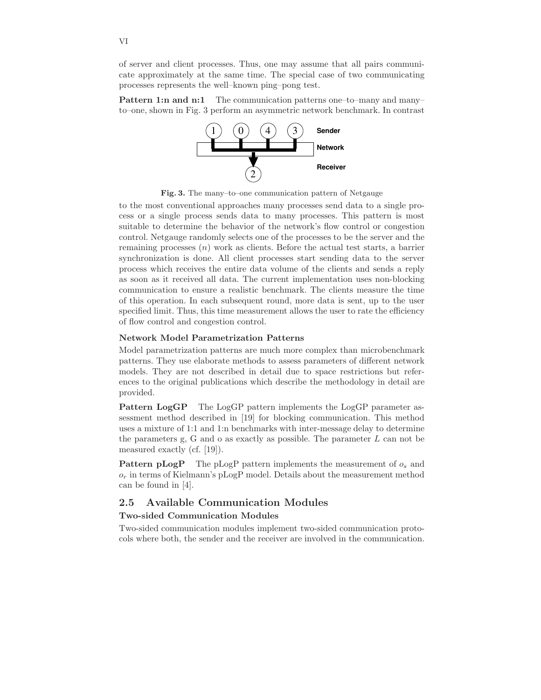of server and client processes. Thus, one may assume that all pairs communicate approximately at the same time. The special case of two communicating processes represents the well–known ping–pong test.

**Pattern 1:n and n:1** The communication patterns one–to–many and many– to–one, shown in Fig. 3 perform an asymmetric network benchmark. In contrast



Fig. 3. The many–to–one communication pattern of Netgauge

to the most conventional approaches many processes send data to a single process or a single process sends data to many processes. This pattern is most suitable to determine the behavior of the network's flow control or congestion control. Netgauge randomly selects one of the processes to be the server and the remaining processes  $(n)$  work as clients. Before the actual test starts, a barrier synchronization is done. All client processes start sending data to the server process which receives the entire data volume of the clients and sends a reply as soon as it received all data. The current implementation uses non-blocking communication to ensure a realistic benchmark. The clients measure the time of this operation. In each subsequent round, more data is sent, up to the user specified limit. Thus, this time measurement allows the user to rate the efficiency of flow control and congestion control.

#### Network Model Parametrization Patterns

Model parametrization patterns are much more complex than microbenchmark patterns. They use elaborate methods to assess parameters of different network models. They are not described in detail due to space restrictions but references to the original publications which describe the methodology in detail are provided.

Pattern LogGP The LogGP pattern implements the LogGP parameter assessment method described in [19] for blocking communication. This method uses a mixture of 1:1 and 1:n benchmarks with inter-message delay to determine the parameters  $g$ ,  $G$  and  $o$  as exactly as possible. The parameter  $L$  can not be measured exactly (cf. [19]).

**Pattern pLogP** The pLogP pattern implements the measurement of  $o_s$  and  $o_r$  in terms of Kielmann's pLogP model. Details about the measurement method can be found in [4].

## 2.5 Available Communication Modules Two-sided Communication Modules

Two-sided communication modules implement two-sided communication protocols where both, the sender and the receiver are involved in the communication.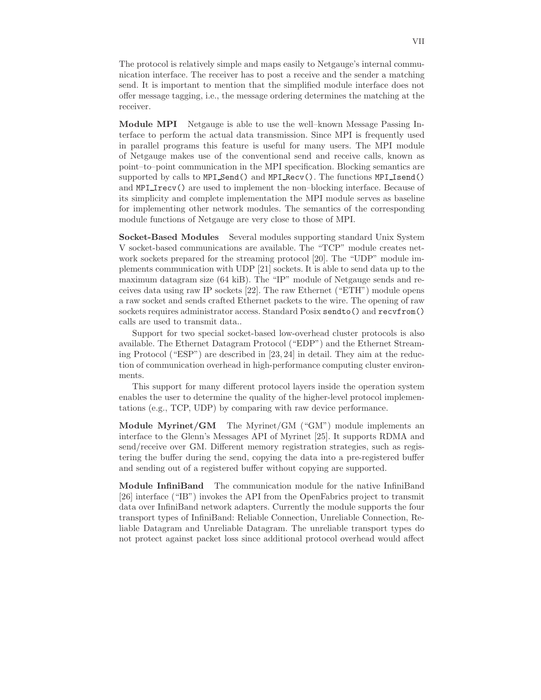The protocol is relatively simple and maps easily to Netgauge's internal communication interface. The receiver has to post a receive and the sender a matching send. It is important to mention that the simplified module interface does not offer message tagging, i.e., the message ordering determines the matching at the receiver.

Module MPI Netgauge is able to use the well–known Message Passing Interface to perform the actual data transmission. Since MPI is frequently used in parallel programs this feature is useful for many users. The MPI module of Netgauge makes use of the conventional send and receive calls, known as point–to–point communication in the MPI specification. Blocking semantics are supported by calls to MPI Send() and MPI Recv(). The functions MPI Isend() and MPI\_Irecv() are used to implement the non-blocking interface. Because of its simplicity and complete implementation the MPI module serves as baseline for implementing other network modules. The semantics of the corresponding module functions of Netgauge are very close to those of MPI.

Socket-Based Modules Several modules supporting standard Unix System V socket-based communications are available. The "TCP" module creates network sockets prepared for the streaming protocol [20]. The "UDP" module implements communication with UDP [21] sockets. It is able to send data up to the maximum datagram size (64 kiB). The "IP" module of Netgauge sends and receives data using raw IP sockets [22]. The raw Ethernet ("ETH") module opens a raw socket and sends crafted Ethernet packets to the wire. The opening of raw sockets requires administrator access. Standard Posix sendto() and recvfrom() calls are used to transmit data..

Support for two special socket-based low-overhead cluster protocols is also available. The Ethernet Datagram Protocol ("EDP") and the Ethernet Streaming Protocol ("ESP") are described in [23, 24] in detail. They aim at the reduction of communication overhead in high-performance computing cluster environments.

This support for many different protocol layers inside the operation system enables the user to determine the quality of the higher-level protocol implementations (e.g., TCP, UDP) by comparing with raw device performance.

Module Myrinet/GM The Myrinet/GM ("GM") module implements an interface to the Glenn's Messages API of Myrinet [25]. It supports RDMA and send/receive over GM. Different memory registration strategies, such as registering the buffer during the send, copying the data into a pre-registered buffer and sending out of a registered buffer without copying are supported.

Module InfiniBand The communication module for the native InfiniBand [26] interface ("IB") invokes the API from the OpenFabrics project to transmit data over InfiniBand network adapters. Currently the module supports the four transport types of InfiniBand: Reliable Connection, Unreliable Connection, Reliable Datagram and Unreliable Datagram. The unreliable transport types do not protect against packet loss since additional protocol overhead would affect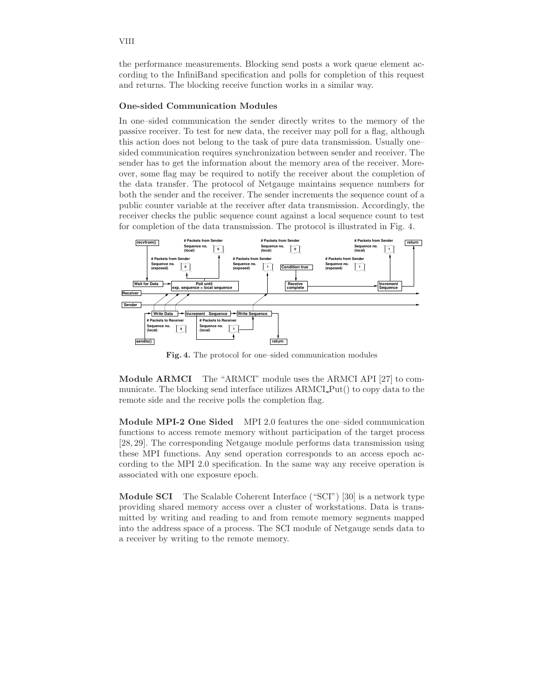the performance measurements. Blocking send posts a work queue element according to the InfiniBand specification and polls for completion of this request and returns. The blocking receive function works in a similar way.

#### One-sided Communication Modules

In one–sided communication the sender directly writes to the memory of the passive receiver. To test for new data, the receiver may poll for a flag, although this action does not belong to the task of pure data transmission. Usually one– sided communication requires synchronization between sender and receiver. The sender has to get the information about the memory area of the receiver. Moreover, some flag may be required to notify the receiver about the completion of the data transfer. The protocol of Netgauge maintains sequence numbers for both the sender and the receiver. The sender increments the sequence count of a public counter variable at the receiver after data transmission. Accordingly, the receiver checks the public sequence count against a local sequence count to test for completion of the data transmission. The protocol is illustrated in Fig. 4.



Fig. 4. The protocol for one–sided communication modules

Module ARMCI The "ARMCI" module uses the ARMCI API [27] to communicate. The blocking send interface utilizes ARMCI-Put() to copy data to the remote side and the receive polls the completion flag.

Module MPI-2 One Sided MPI 2.0 features the one–sided communication functions to access remote memory without participation of the target process [28, 29]. The corresponding Netgauge module performs data transmission using these MPI functions. Any send operation corresponds to an access epoch according to the MPI 2.0 specification. In the same way any receive operation is associated with one exposure epoch.

Module SCI The Scalable Coherent Interface ("SCI") [30] is a network type providing shared memory access over a cluster of workstations. Data is transmitted by writing and reading to and from remote memory segments mapped into the address space of a process. The SCI module of Netgauge sends data to a receiver by writing to the remote memory.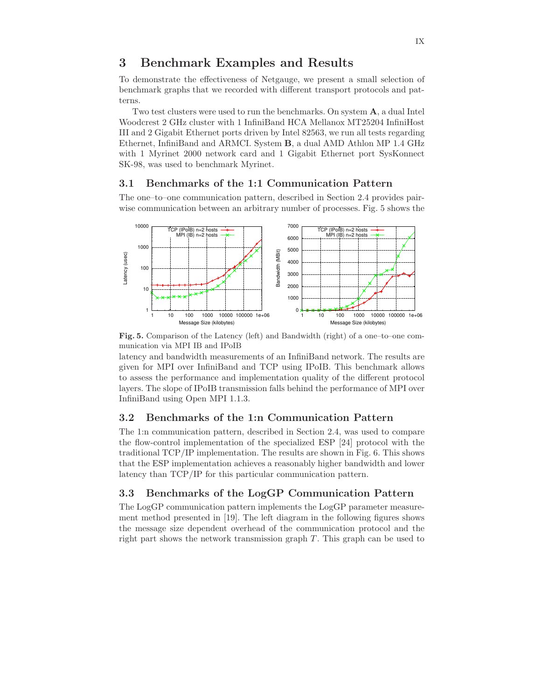## 3 Benchmark Examples and Results

To demonstrate the effectiveness of Netgauge, we present a small selection of benchmark graphs that we recorded with different transport protocols and patterns.

Two test clusters were used to run the benchmarks. On system A, a dual Intel Woodcrest 2 GHz cluster with 1 InfiniBand HCA Mellanox MT25204 InfiniHost III and 2 Gigabit Ethernet ports driven by Intel 82563, we run all tests regarding Ethernet, InfiniBand and ARMCI. System B, a dual AMD Athlon MP 1.4 GHz with 1 Myrinet 2000 network card and 1 Gigabit Ethernet port SysKonnect SK-98, was used to benchmark Myrinet.

## 3.1 Benchmarks of the 1:1 Communication Pattern

The one–to–one communication pattern, described in Section 2.4 provides pairwise communication between an arbitrary number of processes. Fig. 5 shows the



Fig. 5. Comparison of the Latency (left) and Bandwidth (right) of a one–to–one communication via MPI IB and IPoIB

latency and bandwidth measurements of an InfiniBand network. The results are given for MPI over InfiniBand and TCP using IPoIB. This benchmark allows to assess the performance and implementation quality of the different protocol layers. The slope of IPoIB transmission falls behind the performance of MPI over InfiniBand using Open MPI 1.1.3.

## 3.2 Benchmarks of the 1:n Communication Pattern

The 1:n communication pattern, described in Section 2.4, was used to compare the flow-control implementation of the specialized ESP [24] protocol with the traditional TCP/IP implementation. The results are shown in Fig. 6. This shows that the ESP implementation achieves a reasonably higher bandwidth and lower latency than TCP/IP for this particular communication pattern.

## 3.3 Benchmarks of the LogGP Communication Pattern

The LogGP communication pattern implements the LogGP parameter measurement method presented in [19]. The left diagram in the following figures shows the message size dependent overhead of the communication protocol and the right part shows the network transmission graph  $T$ . This graph can be used to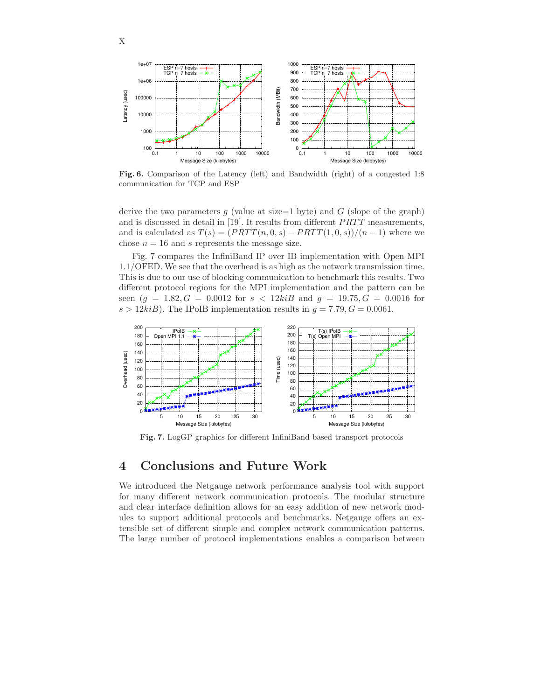

Fig. 6. Comparison of the Latency (left) and Bandwidth (right) of a congested 1:8 communication for TCP and ESP

derive the two parameters g (value at size=1 byte) and G (slope of the graph) and is discussed in detail in [19]. It results from different PRTT measurements, and is calculated as  $T(s) = (PRTT(n, 0, s) - PRTT(1, 0, s))/(n-1)$  where we chose  $n = 16$  and s represents the message size.

Fig. 7 compares the InfiniBand IP over IB implementation with Open MPI 1.1/OFED. We see that the overhead is as high as the network transmission time. This is due to our use of blocking communication to benchmark this results. Two different protocol regions for the MPI implementation and the pattern can be seen  $(g = 1.82, G = 0.0012$  for  $s < 12kiB$  and  $g = 19.75, G = 0.0016$  for  $s > 12kiB$ ). The IPoIB implementation results in  $g = 7.79, G = 0.0061$ .



Fig. 7. LogGP graphics for different InfiniBand based transport protocols

## 4 Conclusions and Future Work

We introduced the Netgauge network performance analysis tool with support for many different network communication protocols. The modular structure and clear interface definition allows for an easy addition of new network modules to support additional protocols and benchmarks. Netgauge offers an extensible set of different simple and complex network communication patterns. The large number of protocol implementations enables a comparison between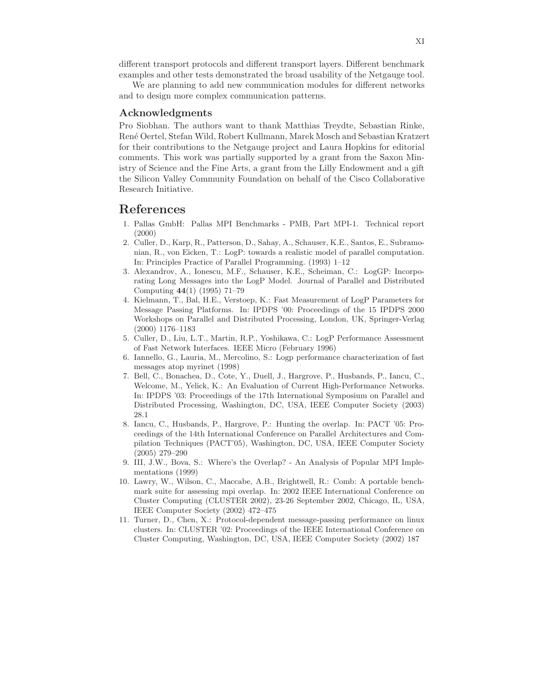different transport protocols and different transport layers. Different benchmark examples and other tests demonstrated the broad usability of the Netgauge tool.

We are planning to add new communication modules for different networks and to design more complex communication patterns.

#### Acknowledgments

Pro Siobhan. The authors want to thank Matthias Treydte, Sebastian Rinke, Ren´e Oertel, Stefan Wild, Robert Kullmann, Marek Mosch and Sebastian Kratzert for their contributions to the Netgauge project and Laura Hopkins for editorial comments. This work was partially supported by a grant from the Saxon Ministry of Science and the Fine Arts, a grant from the Lilly Endowment and a gift the Silicon Valley Community Foundation on behalf of the Cisco Collaborative Research Initiative.

## References

- 1. Pallas GmbH: Pallas MPI Benchmarks PMB, Part MPI-1. Technical report (2000)
- 2. Culler, D., Karp, R., Patterson, D., Sahay, A., Schauser, K.E., Santos, E., Subramonian, R., von Eicken, T.: LogP: towards a realistic model of parallel computation. In: Principles Practice of Parallel Programming. (1993) 1–12
- 3. Alexandrov, A., Ionescu, M.F., Schauser, K.E., Scheiman, C.: LogGP: Incorporating Long Messages into the LogP Model. Journal of Parallel and Distributed Computing 44(1) (1995) 71–79
- 4. Kielmann, T., Bal, H.E., Verstoep, K.: Fast Measurement of LogP Parameters for Message Passing Platforms. In: IPDPS '00: Proceedings of the 15 IPDPS 2000 Workshops on Parallel and Distributed Processing, London, UK, Springer-Verlag (2000) 1176–1183
- 5. Culler, D., Liu, L.T., Martin, R.P., Yoshikawa, C.: LogP Performance Assessment of Fast Network Interfaces. IEEE Micro (February 1996)
- 6. Iannello, G., Lauria, M., Mercolino, S.: Logp performance characterization of fast messages atop myrinet (1998)
- 7. Bell, C., Bonachea, D., Cote, Y., Duell, J., Hargrove, P., Husbands, P., Iancu, C., Welcome, M., Yelick, K.: An Evaluation of Current High-Performance Networks. In: IPDPS '03: Proceedings of the 17th International Symposium on Parallel and Distributed Processing, Washington, DC, USA, IEEE Computer Society (2003) 28.1
- 8. Iancu, C., Husbands, P., Hargrove, P.: Hunting the overlap. In: PACT '05: Proceedings of the 14th International Conference on Parallel Architectures and Compilation Techniques (PACT'05), Washington, DC, USA, IEEE Computer Society (2005) 279–290
- 9. III, J.W., Bova, S.: Where's the Overlap? An Analysis of Popular MPI Implementations (1999)
- 10. Lawry, W., Wilson, C., Maccabe, A.B., Brightwell, R.: Comb: A portable benchmark suite for assessing mpi overlap. In: 2002 IEEE International Conference on Cluster Computing (CLUSTER 2002), 23-26 September 2002, Chicago, IL, USA, IEEE Computer Society (2002) 472–475
- 11. Turner, D., Chen, X.: Protocol-dependent message-passing performance on linux clusters. In: CLUSTER '02: Proceedings of the IEEE International Conference on Cluster Computing, Washington, DC, USA, IEEE Computer Society (2002) 187